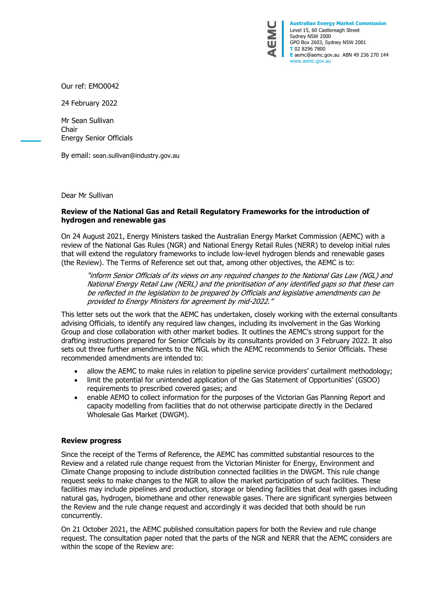

**Australian Energy Market Commission** Level 15, 60 Castlereagh Street Sydney NSW 2000 GPO Box 2603, Sydney NSW 2001 **T** 02 8296 7800 **E** aemc@aemc.gov.au ABN 49 236 270 144 www.aemc.gov.au

Our ref: EMO0042

24 February 2022

Mr Sean Sullivan Chair Energy Senior Officials

By email: [sean.sullivan@industry.gov.au](mailto:sean.sullivan@industry.gov.au)

Dear Mr Sullivan

## **Review of the National Gas and Retail Regulatory Frameworks for the introduction of hydrogen and renewable gas**

On 24 August 2021, Energy Ministers tasked the Australian Energy Market Commission (AEMC) with a review of the National Gas Rules (NGR) and National Energy Retail Rules (NERR) to develop initial rules that will extend the regulatory frameworks to include low-level hydrogen blends and renewable gases (the Review). The Terms of Reference set out that, among other objectives, the AEMC is to:

"inform Senior Officials of its views on any required changes to the National Gas Law (NGL) and National Energy Retail Law (NERL) and the prioritisation of any identified gaps so that these can be reflected in the legislation to be prepared by Officials and legislative amendments can be provided to Energy Ministers for agreement by mid-2022."

This letter sets out the work that the AEMC has undertaken, closely working with the external consultants advising Officials, to identify any required law changes, including its involvement in the Gas Working Group and close collaboration with other market bodies. It outlines the AEMC's strong support for the drafting instructions prepared for Senior Officials by its consultants provided on 3 February 2022. It also sets out three further amendments to the NGL which the AEMC recommends to Senior Officials. These recommended amendments are intended to:

- allow the AEMC to make rules in relation to pipeline service providers' curtailment methodology;
- limit the potential for unintended application of the Gas Statement of Opportunities' (GSOO) requirements to prescribed covered gases; and
- enable AEMO to collect information for the purposes of the Victorian Gas Planning Report and capacity modelling from facilities that do not otherwise participate directly in the Declared Wholesale Gas Market (DWGM).

## **Review progress**

Since the receipt of the Terms of Reference, the AEMC has committed substantial resources to the Review and a related rule change request from the Victorian Minister for Energy, Environment and Climate Change proposing to include distribution connected facilities in the DWGM. This rule change request seeks to make changes to the NGR to allow the market participation of such facilities. These facilities may include pipelines and production, storage or blending facilities that deal with gases including natural gas, hydrogen, biomethane and other renewable gases. There are significant synergies between the Review and the rule change request and accordingly it was decided that both should be run concurrently.

On 21 October 2021, the AEMC published consultation papers for both the Review and rule change request. The consultation paper noted that the parts of the NGR and NERR that the AEMC considers are within the scope of the Review are: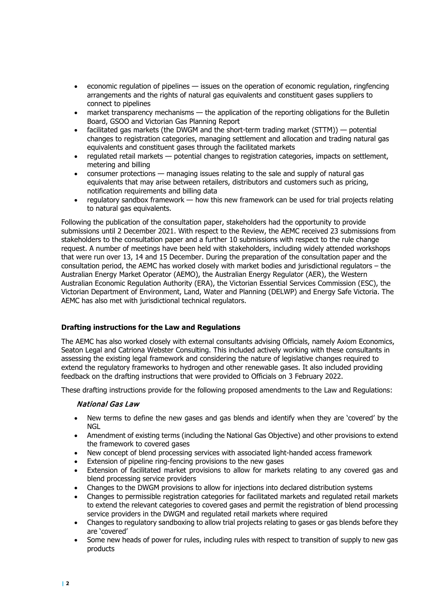- economic regulation of pipelines issues on the operation of economic regulation, ringfencing arrangements and the rights of natural gas equivalents and constituent gases suppliers to connect to pipelines
- market transparency mechanisms the application of the reporting obligations for the Bulletin Board, GSOO and Victorian Gas Planning Report
- facilitated gas markets (the DWGM and the short-term trading market (STTM)) potential changes to registration categories, managing settlement and allocation and trading natural gas equivalents and constituent gases through the facilitated markets
- regulated retail markets potential changes to registration categories, impacts on settlement, metering and billing
- consumer protections managing issues relating to the sale and supply of natural gas equivalents that may arise between retailers, distributors and customers such as pricing, notification requirements and billing data
- regulatory sandbox framework how this new framework can be used for trial projects relating to natural gas equivalents.

Following the publication of the consultation paper, stakeholders had the opportunity to provide submissions until 2 December 2021. With respect to the Review, the AEMC received 23 submissions from stakeholders to the consultation paper and a further 10 submissions with respect to the rule change request. A number of meetings have been held with stakeholders, including widely attended workshops that were run over 13, 14 and 15 December. During the preparation of the consultation paper and the consultation period, the AEMC has worked closely with market bodies and jurisdictional regulators – the Australian Energy Market Operator (AEMO), the Australian Energy Regulator (AER), the Western Australian Economic Regulation Authority (ERA), the Victorian Essential Services Commission (ESC), the Victorian Department of Environment, Land, Water and Planning (DELWP) and Energy Safe Victoria. The AEMC has also met with jurisdictional technical regulators.

## **Drafting instructions for the Law and Regulations**

The AEMC has also worked closely with external consultants advising Officials, namely Axiom Economics, Seaton Legal and Catriona Webster Consulting. This included actively working with these consultants in assessing the existing legal framework and considering the nature of legislative changes required to extend the regulatory frameworks to hydrogen and other renewable gases. It also included providing feedback on the drafting instructions that were provided to Officials on 3 February 2022.

These drafting instructions provide for the following proposed amendments to the Law and Regulations:

## National Gas Law

- New terms to define the new gases and gas blends and identify when they are 'covered' by the **NGL**
- Amendment of existing terms (including the National Gas Objective) and other provisions to extend the framework to covered gases
- New concept of blend processing services with associated light-handed access framework
- Extension of pipeline ring-fencing provisions to the new gases
- Extension of facilitated market provisions to allow for markets relating to any covered gas and blend processing service providers
- Changes to the DWGM provisions to allow for injections into declared distribution systems
- Changes to permissible registration categories for facilitated markets and regulated retail markets to extend the relevant categories to covered gases and permit the registration of blend processing service providers in the DWGM and regulated retail markets where required
- Changes to regulatory sandboxing to allow trial projects relating to gases or gas blends before they are 'covered'
- Some new heads of power for rules, including rules with respect to transition of supply to new gas products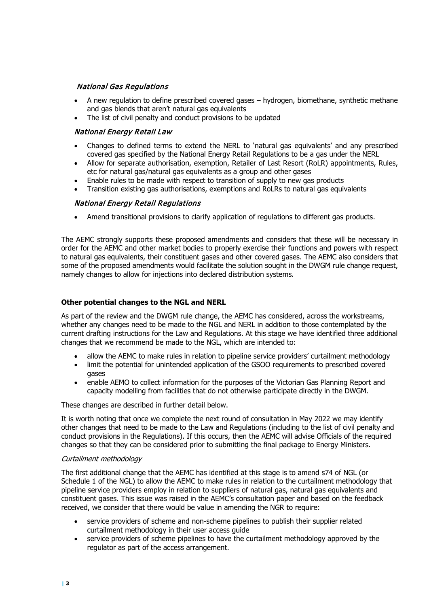# National Gas Regulations

- A new regulation to define prescribed covered gases hydrogen, biomethane, synthetic methane and gas blends that aren't natural gas equivalents
- The list of civil penalty and conduct provisions to be updated

## National Energy Retail Law

- Changes to defined terms to extend the NERL to 'natural gas equivalents' and any prescribed covered gas specified by the National Energy Retail Regulations to be a gas under the NERL
- Allow for separate authorisation, exemption, Retailer of Last Resort (RoLR) appointments, Rules, etc for natural gas/natural gas equivalents as a group and other gases
- Enable rules to be made with respect to transition of supply to new gas products
- Transition existing gas authorisations, exemptions and RoLRs to natural gas equivalents

## National Energy Retail Regulations

• Amend transitional provisions to clarify application of regulations to different gas products.

The AEMC strongly supports these proposed amendments and considers that these will be necessary in order for the AEMC and other market bodies to properly exercise their functions and powers with respect to natural gas equivalents, their constituent gases and other covered gases. The AEMC also considers that some of the proposed amendments would facilitate the solution sought in the DWGM rule change request, namely changes to allow for injections into declared distribution systems.

#### **Other potential changes to the NGL and NERL**

As part of the review and the DWGM rule change, the AEMC has considered, across the workstreams, whether any changes need to be made to the NGL and NERL in addition to those contemplated by the current drafting instructions for the Law and Regulations. At this stage we have identified three additional changes that we recommend be made to the NGL, which are intended to:

- allow the AEMC to make rules in relation to pipeline service providers' curtailment methodology
- limit the potential for unintended application of the GSOO requirements to prescribed covered gases
- enable AEMO to collect information for the purposes of the Victorian Gas Planning Report and capacity modelling from facilities that do not otherwise participate directly in the DWGM.

These changes are described in further detail below.

It is worth noting that once we complete the next round of consultation in May 2022 we may identify other changes that need to be made to the Law and Regulations (including to the list of civil penalty and conduct provisions in the Regulations). If this occurs, then the AEMC will advise Officials of the required changes so that they can be considered prior to submitting the final package to Energy Ministers.

#### Curtailment methodology

The first additional change that the AEMC has identified at this stage is to amend s74 of NGL (or Schedule 1 of the NGL) to allow the AEMC to make rules in relation to the curtailment methodology that pipeline service providers employ in relation to suppliers of natural gas, natural gas equivalents and constituent gases. This issue was raised in the AEMC's consultation paper and based on the feedback received, we consider that there would be value in amending the NGR to require:

- service providers of scheme and non-scheme pipelines to publish their supplier related curtailment methodology in their user access guide
- service providers of scheme pipelines to have the curtailment methodology approved by the regulator as part of the access arrangement.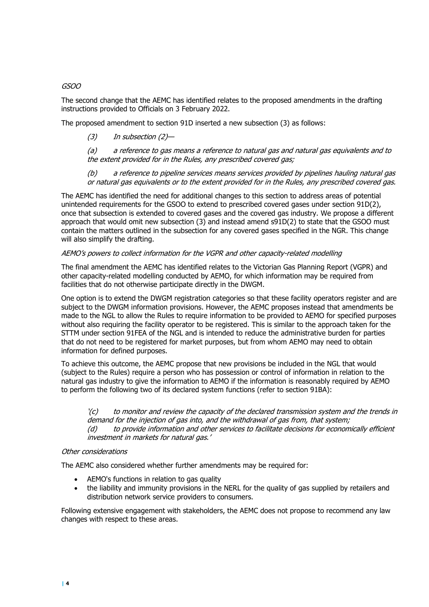## GSOO

The second change that the AEMC has identified relates to the proposed amendments in the drafting instructions provided to Officials on 3 February 2022.

The proposed amendment to section 91D inserted a new subsection (3) as follows:

(3) In subsection (2)—

(a) a reference to gas means a reference to natural gas and natural gas equivalents and to the extent provided for in the Rules, any prescribed covered gas;

(b) a reference to pipeline services means services provided by pipelines hauling natural gas or natural gas equivalents or to the extent provided for in the Rules, any prescribed covered gas.

The AEMC has identified the need for additional changes to this section to address areas of potential unintended requirements for the GSOO to extend to prescribed covered gases under section 91D(2), once that subsection is extended to covered gases and the covered gas industry. We propose a different approach that would omit new subsection (3) and instead amend s91D(2) to state that the GSOO must contain the matters outlined in the subsection for any covered gases specified in the NGR. This change will also simplify the drafting.

#### AEMO's powers to collect information for the VGPR and other capacity-related modelling

The final amendment the AEMC has identified relates to the Victorian Gas Planning Report (VGPR) and other capacity-related modelling conducted by AEMO, for which information may be required from facilities that do not otherwise participate directly in the DWGM.

One option is to extend the DWGM registration categories so that these facility operators register and are subject to the DWGM information provisions. However, the AEMC proposes instead that amendments be made to the NGL to allow the Rules to require information to be provided to AEMO for specified purposes without also requiring the facility operator to be registered. This is similar to the approach taken for the STTM under section 91FEA of the NGL and is intended to reduce the administrative burden for parties that do not need to be registered for market purposes, but from whom AEMO may need to obtain information for defined purposes.

To achieve this outcome, the AEMC propose that new provisions be included in the NGL that would (subject to the Rules) require a person who has possession or control of information in relation to the natural gas industry to give the information to AEMO if the information is reasonably required by AEMO to perform the following two of its declared system functions (refer to section 91BA):

 $\zeta(c)$  to monitor and review the capacity of the declared transmission system and the trends in demand for the injection of gas into, and the withdrawal of gas from, that system; (d) to provide information and other services to facilitate decisions for economically efficient investment in markets for natural gas.'

#### Other considerations

The AEMC also considered whether further amendments may be required for:

- AEMO's functions in relation to gas quality
- the liability and immunity provisions in the NERL for the quality of gas supplied by retailers and distribution network service providers to consumers.

Following extensive engagement with stakeholders, the AEMC does not propose to recommend any law changes with respect to these areas.